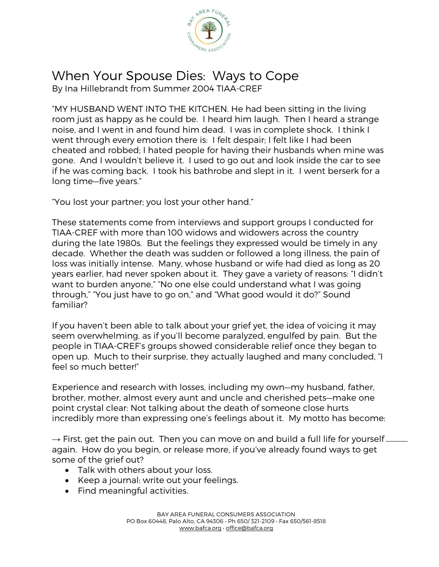

## When Your Spouse Dies: Ways to Cope

By Ina Hillebrandt from Summer 2004 TIAA-CREF

"MY HUSBAND WENT INTO THE KITCHEN. He had been sitting in the living room just as happy as he could be. I heard him laugh. Then I heard a strange noise, and I went in and found him dead. I was in complete shock. I think I went through every emotion there is: I felt despair; I felt like I had been cheated and robbed; I hated people for having their husbands when mine was gone. And I wouldn't believe it. I used to go out and look inside the car to see if he was coming back. I took his bathrobe and slept in it. I went berserk for a long time—five years."

"You lost your partner; you lost your other hand."

These statements come from interviews and support groups I conducted for TIAA-CREF with more than 100 widows and widowers across the country during the late 1980s. But the feelings they expressed would be timely in any decade. Whether the death was sudden or followed a long illness, the pain of loss was initially intense. Many, whose husband or wife had died as long as 20 years earlier, had never spoken about it. They gave a variety of reasons: "I didn't want to burden anyone," "No one else could understand what I was going through," "You just have to go on," and "What good would it do?" Sound familiar?

If you haven't been able to talk about your grief yet, the idea of voicing it may seem overwhelming, as if you'll become paralyzed, engulfed by pain. But the people in TIAA-CREF's groups showed considerable relief once they began to open up. Much to their surprise, they actually laughed and many concluded, "I feel so much better!"

Experience and research with losses, including my own—my husband, father, brother, mother, almost every aunt and uncle and cherished pets—make one point crystal clear: Not talking about the death of someone close hurts incredibly more than expressing one's feelings about it. My motto has become:

 $\rightarrow$  First, get the pain out. Then you can move on and build a full life for yourself again. How do you begin, or release more, if you've already found ways to get some of the grief out?

- Talk with others about your loss.
- Keep a journal: write out your feelings.
- Find meaningful activities.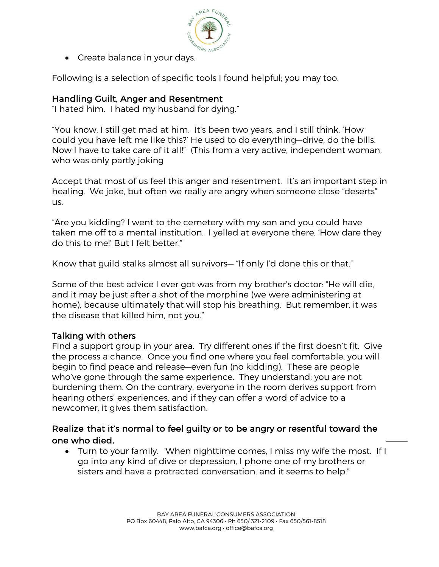

• Create balance in your days.

Following is a selection of specific tools I found helpful; you may too.

## Handling Guilt, Anger and Resentment

"I hated him. I hated my husband for dying."

"You know, I still get mad at him. It's been two years, and I still think, 'How could you have left me like this?' He used to do everything—drive, do the bills. Now I have to take care of it all!" (This from a very active, independent woman, who was only partly joking

Accept that most of us feel this anger and resentment. It's an important step in healing. We joke, but often we really are angry when someone close "deserts" us.

"Are you kidding? I went to the cemetery with my son and you could have taken me off to a mental institution. I yelled at everyone there, 'How dare they do this to me!' But I felt better."

Know that guild stalks almost all survivors— "If only I'd done this or that."

Some of the best advice I ever got was from my brother's doctor: "He will die, and it may be just after a shot of the morphine (we were administering at home), because ultimately that will stop his breathing. But remember, it was the disease that killed him, not you."

## Talking with others

Find a support group in your area. Try different ones if the first doesn't fit. Give the process a chance. Once you find one where you feel comfortable, you will begin to find peace and release—even fun (no kidding). These are people who've gone through the same experience. They understand; you are not burdening them. On the contrary, everyone in the room derives support from hearing others' experiences, and if they can offer a word of advice to a newcomer, it gives them satisfaction.

## Realize that it's normal to feel guilty or to be angry or resentful toward the one who died.

• Turn to your family. "When nighttime comes, I miss my wife the most. If I go into any kind of dive or depression, I phone one of my brothers or sisters and have a protracted conversation, and it seems to help."